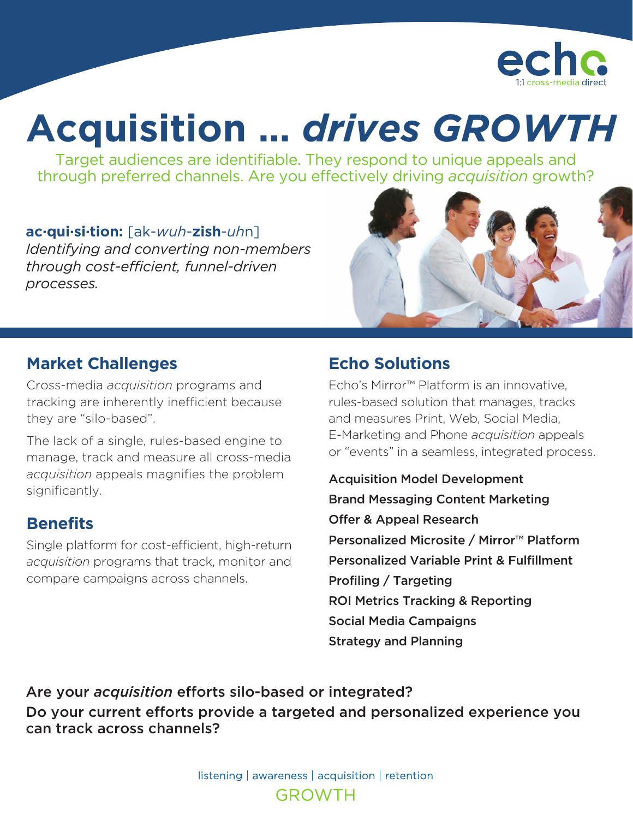

# **Acquisition …** *drives GROWTH*

Target audiences are identifiable. They respond to unique appeals and through preferred channels. Are you effectively driving *acquisition* growth?

#### **ac·qui·si·tion:** [ak-*wuh*-**zish**-*uh*n]

*Identifying and converting non-members through cost-efficient, funnel-driven processes.*



#### **Market Challenges**

Cross-media *acquisition* programs and tracking are inherently inefficient because they are "silo-based".

The lack of a single, rules-based engine to manage, track and measure all cross-media *acquisition* appeals magnifies the problem significantly.

#### **Benefits**

Single platform for cost-efficient, high-return *acquisition* programs that track, monitor and compare campaigns across channels.

# **Echo Solutions**

Echo's Mirror™ Platform is an innovative, rules-based solution that manages, tracks and measures Print, Web, Social Media, E-Marketing and Phone *acquisition* appeals or "events" in a seamless, integrated process.

Acquisition Model Development Brand Messaging Content Marketing Offer & Appeal Research Personalized Microsite / Mirror™ Platform Personalized Variable Print & Fulfillment Profiling / Targeting ROI Metrics Tracking & Reporting Social Media Campaigns Strategy and Planning

Are your *acquisition* efforts silo-based or integrated? Do your current efforts provide a targeted and personalized experience you can track across channels?

> listening | awareness | acquisition | retention **GROWTH**